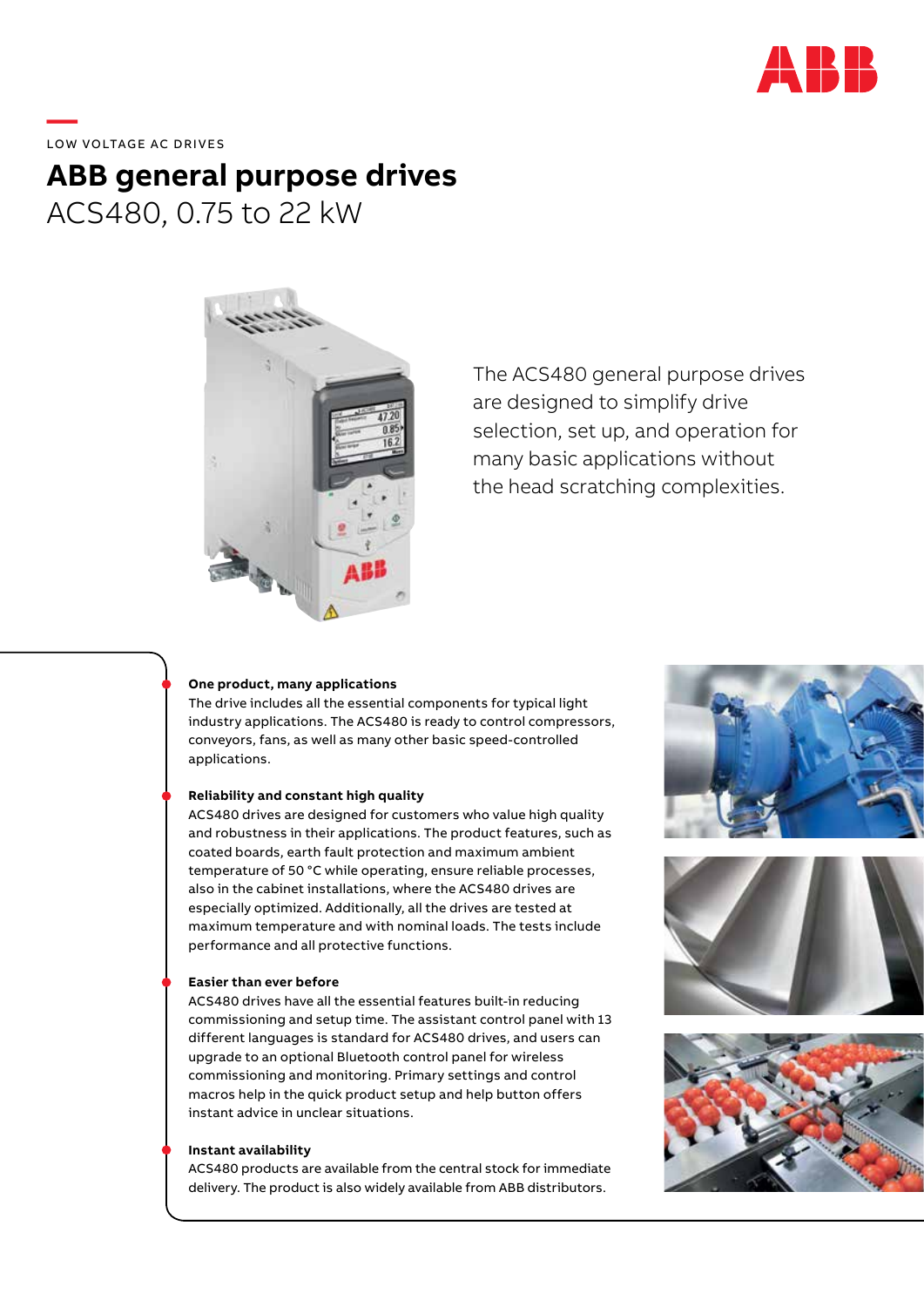

**—**  LOW VOLTAGE AC DRIVES

# **ABB general purpose drives** ACS480, 0.75 to 22 kW



The ACS480 general purpose drives are designed to simplify drive selection, set up, and operation for many basic applications without the head scratching complexities.

#### **One product, many applications**

The drive includes all the essential components for typical light industry applications. The ACS480 is ready to control compressors, conveyors, fans, as well as many other basic speed-controlled applications.

## **Reliability and constant high quality**

ACS480 drives are designed for customers who value high quality and robustness in their applications. The product features, such as coated boards, earth fault protection and maximum ambient temperature of 50 °C while operating, ensure reliable processes, also in the cabinet installations, where the ACS480 drives are especially optimized. Additionally, all the drives are tested at maximum temperature and with nominal loads. The tests include performance and all protective functions.

## **Easier than ever before**

ACS480 drives have all the essential features built-in reducing commissioning and setup time. The assistant control panel with 13 different languages is standard for ACS480 drives, and users can upgrade to an optional Bluetooth control panel for wireless commissioning and monitoring. Primary settings and control macros help in the quick product setup and help button offers instant advice in unclear situations.

#### **Instant availability**

ACS480 products are available from the central stock for immediate delivery. The product is also widely available from ABB distributors.